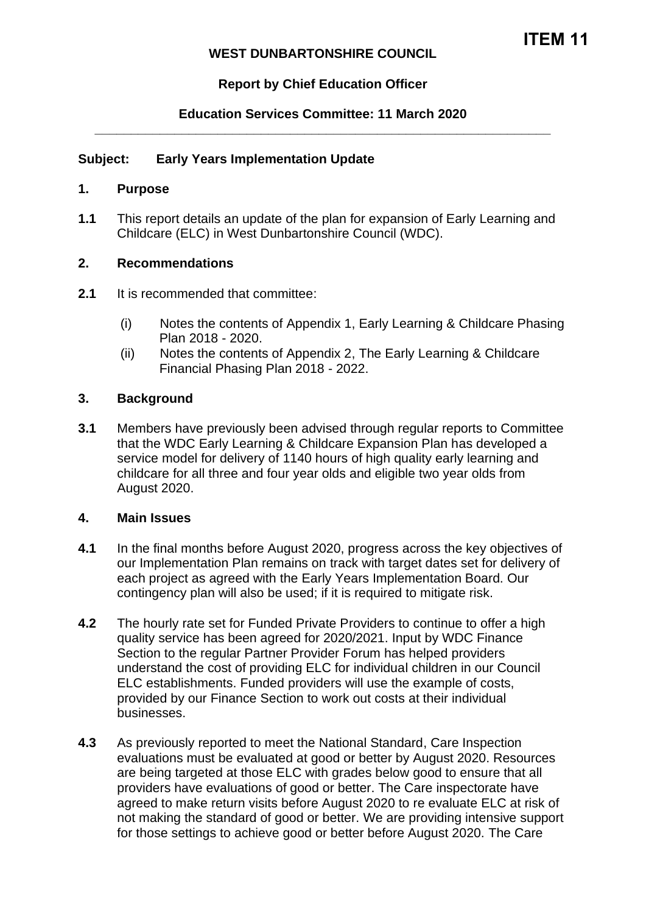## **WEST DUNBARTONSHIRE COUNCIL**

# **Report by Chief Education Officer**

## **Education Services Committee: 11 March 2020 \_\_\_\_\_\_\_\_\_\_\_\_\_\_\_\_\_\_\_\_\_\_\_\_\_\_\_\_\_\_\_\_\_\_\_\_\_\_\_\_\_\_\_\_\_\_\_\_\_\_\_\_\_\_\_\_\_\_\_\_\_\_\_**

### **Subject: Early Years Implementation Update**

#### **1. Purpose**

**1.1** This report details an update of the plan for expansion of Early Learning and Childcare (ELC) in West Dunbartonshire Council (WDC).

### **2. Recommendations**

- **2.1** It is recommended that committee:
	- (i) Notes the contents of Appendix 1, Early Learning & Childcare Phasing Plan 2018 - 2020.
	- (ii) Notes the contents of Appendix 2, The Early Learning & Childcare Financial Phasing Plan 2018 - 2022.

### **3. Background**

**3.1** Members have previously been advised through regular reports to Committee that the WDC Early Learning & Childcare Expansion Plan has developed a service model for delivery of 1140 hours of high quality early learning and childcare for all three and four year olds and eligible two year olds from August 2020.

#### **4. Main Issues**

- **4.1** In the final months before August 2020, progress across the key objectives of our Implementation Plan remains on track with target dates set for delivery of each project as agreed with the Early Years Implementation Board. Our contingency plan will also be used; if it is required to mitigate risk.
- **4.2** The hourly rate set for Funded Private Providers to continue to offer a high quality service has been agreed for 2020/2021. Input by WDC Finance Section to the regular Partner Provider Forum has helped providers understand the cost of providing ELC for individual children in our Council ELC establishments. Funded providers will use the example of costs, provided by our Finance Section to work out costs at their individual businesses.
- **4.3** As previously reported to meet the National Standard, Care Inspection evaluations must be evaluated at good or better by August 2020. Resources are being targeted at those ELC with grades below good to ensure that all providers have evaluations of good or better. The Care inspectorate have agreed to make return visits before August 2020 to re evaluate ELC at risk of not making the standard of good or better. We are providing intensive support for those settings to achieve good or better before August 2020. The Care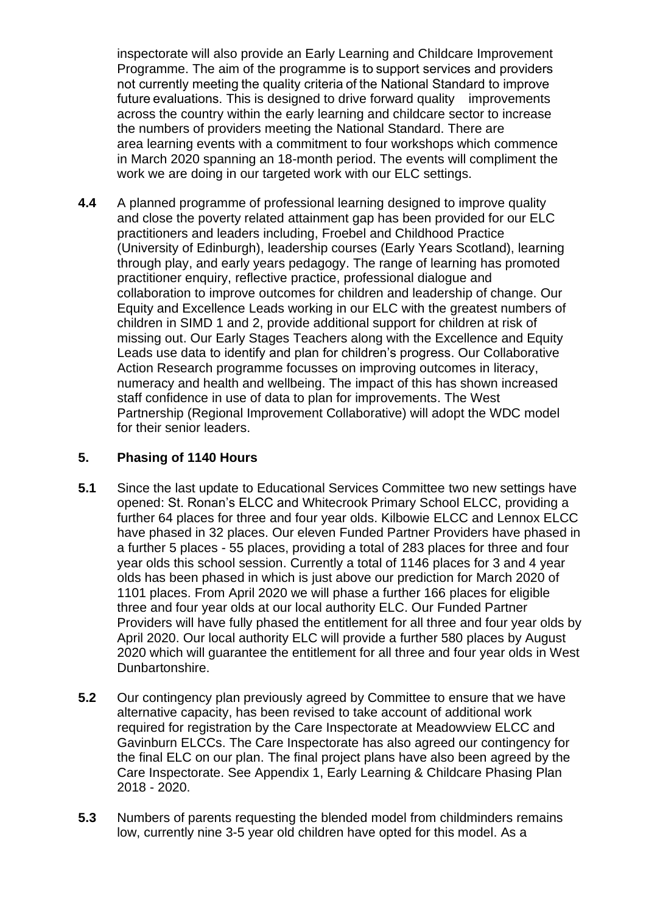inspectorate will also provide an Early Learning and Childcare Improvement Programme. The aim of the programme is to support services and providers not currently meeting the quality criteria of the National Standard to improve future evaluations. This is designed to drive forward quality improvements across the country within the early learning and childcare sector to increase the numbers of providers meeting the National Standard. There are area learning events with a commitment to four workshops which commence in March 2020 spanning an 18-month period. The events will compliment the work we are doing in our targeted work with our ELC settings.

**4.4** A planned programme of professional learning designed to improve quality and close the poverty related attainment gap has been provided for our ELC practitioners and leaders including, Froebel and Childhood Practice (University of Edinburgh), leadership courses (Early Years Scotland), learning through play, and early years pedagogy. The range of learning has promoted practitioner enquiry, reflective practice, professional dialogue and collaboration to improve outcomes for children and leadership of change. Our Equity and Excellence Leads working in our ELC with the greatest numbers of children in SIMD 1 and 2, provide additional support for children at risk of missing out. Our Early Stages Teachers along with the Excellence and Equity Leads use data to identify and plan for children's progress. Our Collaborative Action Research programme focusses on improving outcomes in literacy, numeracy and health and wellbeing. The impact of this has shown increased staff confidence in use of data to plan for improvements. The West Partnership (Regional Improvement Collaborative) will adopt the WDC model for their senior leaders.

# **5. Phasing of 1140 Hours**

- **5.1** Since the last update to Educational Services Committee two new settings have opened: St. Ronan's ELCC and Whitecrook Primary School ELCC, providing a further 64 places for three and four year olds. Kilbowie ELCC and Lennox ELCC have phased in 32 places. Our eleven Funded Partner Providers have phased in a further 5 places - 55 places, providing a total of 283 places for three and four year olds this school session. Currently a total of 1146 places for 3 and 4 year olds has been phased in which is just above our prediction for March 2020 of 1101 places. From April 2020 we will phase a further 166 places for eligible three and four year olds at our local authority ELC. Our Funded Partner Providers will have fully phased the entitlement for all three and four year olds by April 2020. Our local authority ELC will provide a further 580 places by August 2020 which will guarantee the entitlement for all three and four year olds in West Dunbartonshire.
- **5.2** Our contingency plan previously agreed by Committee to ensure that we have alternative capacity, has been revised to take account of additional work required for registration by the Care Inspectorate at Meadowview ELCC and Gavinburn ELCCs. The Care Inspectorate has also agreed our contingency for the final ELC on our plan. The final project plans have also been agreed by the Care Inspectorate. See Appendix 1, Early Learning & Childcare Phasing Plan 2018 - 2020.
- **5.3** Numbers of parents requesting the blended model from childminders remains low, currently nine 3-5 year old children have opted for this model. As a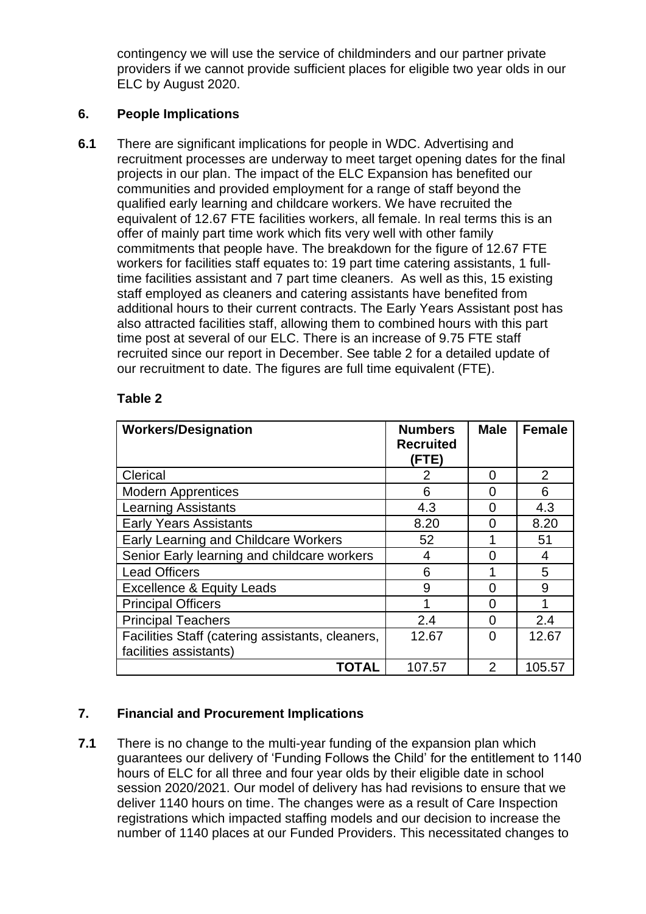contingency we will use the service of childminders and our partner private providers if we cannot provide sufficient places for eligible two year olds in our ELC by August 2020.

## **6. People Implications**

**6.1** There are significant implications for people in WDC. Advertising and recruitment processes are underway to meet target opening dates for the final projects in our plan. The impact of the ELC Expansion has benefited our communities and provided employment for a range of staff beyond the qualified early learning and childcare workers. We have recruited the equivalent of 12.67 FTE facilities workers, all female. In real terms this is an offer of mainly part time work which fits very well with other family commitments that people have. The breakdown for the figure of 12.67 FTE workers for facilities staff equates to: 19 part time catering assistants, 1 fulltime facilities assistant and 7 part time cleaners. As well as this, 15 existing staff employed as cleaners and catering assistants have benefited from additional hours to their current contracts. The Early Years Assistant post has also attracted facilities staff, allowing them to combined hours with this part time post at several of our ELC. There is an increase of 9.75 FTE staff recruited since our report in December. See table 2 for a detailed update of our recruitment to date. The figures are full time equivalent (FTE).

| <b>Workers/Designation</b>                       | <b>Numbers</b><br><b>Recruited</b><br>(FTE) | <b>Male</b>   | <b>Female</b>  |
|--------------------------------------------------|---------------------------------------------|---------------|----------------|
| Clerical                                         | 2                                           | 0             | $\overline{2}$ |
| <b>Modern Apprentices</b>                        | 6                                           | O             | 6              |
| <b>Learning Assistants</b>                       | 4.3                                         | O             | 4.3            |
| <b>Early Years Assistants</b>                    | 8.20                                        | 0             | 8.20           |
| <b>Early Learning and Childcare Workers</b>      | 52                                          |               | 51             |
| Senior Early learning and childcare workers      | 4                                           | O             | 4              |
| <b>Lead Officers</b>                             | 6                                           |               | 5              |
| <b>Excellence &amp; Equity Leads</b>             | 9                                           | ∩             | 9              |
| <b>Principal Officers</b>                        | 1                                           | O             |                |
| <b>Principal Teachers</b>                        | 2.4                                         | U             | 2.4            |
| Facilities Staff (catering assistants, cleaners, | 12.67                                       | O             | 12.67          |
| facilities assistants)                           |                                             |               |                |
| TOTAL                                            | 107.57                                      | $\mathcal{P}$ | 105.57         |

## **Table 2**

# **7. Financial and Procurement Implications**

**7.1** There is no change to the multi-year funding of the expansion plan which guarantees our delivery of 'Funding Follows the Child' for the entitlement to 1140 hours of ELC for all three and four year olds by their eligible date in school session 2020/2021. Our model of delivery has had revisions to ensure that we deliver 1140 hours on time. The changes were as a result of Care Inspection registrations which impacted staffing models and our decision to increase the number of 1140 places at our Funded Providers. This necessitated changes to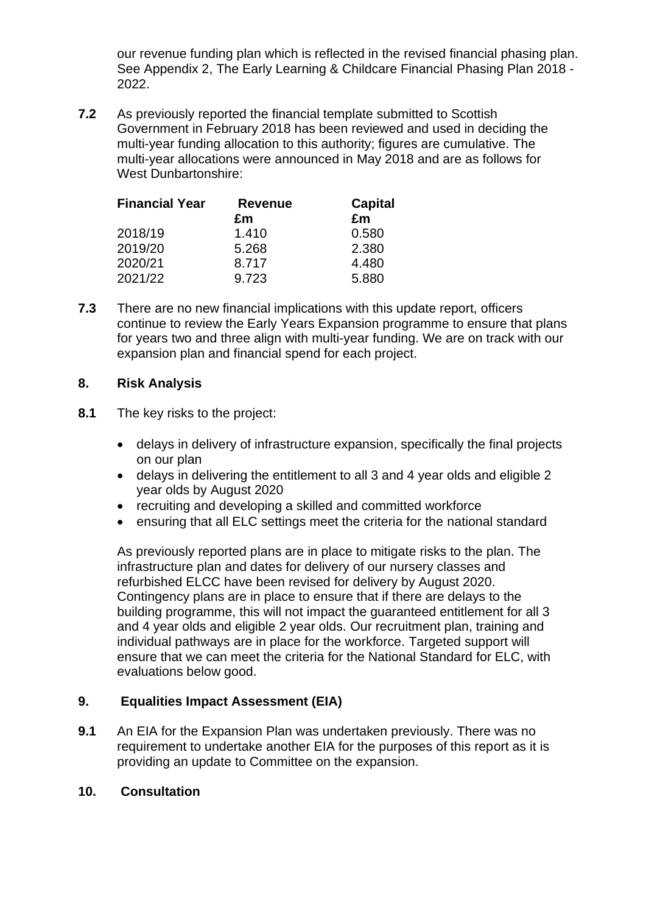our revenue funding plan which is reflected in the revised financial phasing plan. See Appendix 2, The Early Learning & Childcare Financial Phasing Plan 2018 - 2022.

**7.2** As previously reported the financial template submitted to Scottish Government in February 2018 has been reviewed and used in deciding the multi-year funding allocation to this authority; figures are cumulative. The multi-year allocations were announced in May 2018 and are as follows for West Dunbartonshire:

| <b>Financial Year</b> | <b>Revenue</b> | <b>Capital</b> |  |
|-----------------------|----------------|----------------|--|
|                       | £m             | £m             |  |
| 2018/19               | 1.410          | 0.580          |  |
| 2019/20               | 5.268          | 2.380          |  |
| 2020/21               | 8.717          | 4.480          |  |
| 2021/22               | 9.723          | 5.880          |  |

**7.3** There are no new financial implications with this update report, officers continue to review the Early Years Expansion programme to ensure that plans for years two and three align with multi-year funding. We are on track with our expansion plan and financial spend for each project.

## **8. Risk Analysis**

- **8.1** The key risks to the project:
	- delays in delivery of infrastructure expansion, specifically the final projects on our plan
	- delays in delivering the entitlement to all 3 and 4 year olds and eligible 2 year olds by August 2020
	- recruiting and developing a skilled and committed workforce
	- ensuring that all ELC settings meet the criteria for the national standard

As previously reported plans are in place to mitigate risks to the plan. The infrastructure plan and dates for delivery of our nursery classes and refurbished ELCC have been revised for delivery by August 2020. Contingency plans are in place to ensure that if there are delays to the building programme, this will not impact the guaranteed entitlement for all 3 and 4 year olds and eligible 2 year olds. Our recruitment plan, training and individual pathways are in place for the workforce. Targeted support will ensure that we can meet the criteria for the National Standard for ELC, with evaluations below good.

# **9. Equalities Impact Assessment (EIA)**

**9.1** An EIA for the Expansion Plan was undertaken previously. There was no requirement to undertake another EIA for the purposes of this report as it is providing an update to Committee on the expansion.

## **10. Consultation**